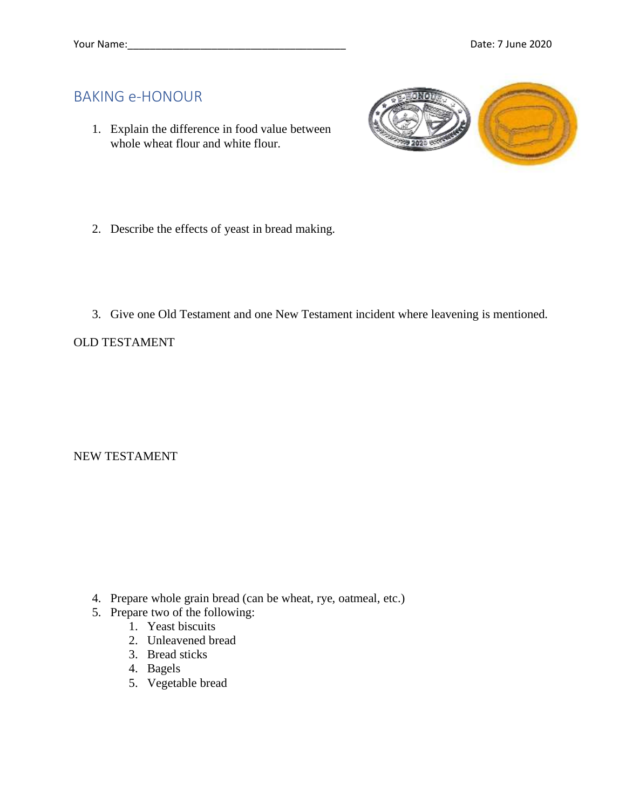## BAKING e-HONOUR

1. Explain the difference in food value between whole wheat flour and white flour.



- 2. Describe the effects of yeast in bread making.
- 3. Give one Old Testament and one New Testament incident where leavening is mentioned.

## OLD TESTAMENT

NEW TESTAMENT

- 4. Prepare whole grain bread (can be wheat, rye, oatmeal, etc.)
- 5. Prepare two of the following:
	- 1. Yeast biscuits
	- 2. Unleavened bread
	- 3. Bread sticks
	- 4. Bagels
	- 5. Vegetable bread